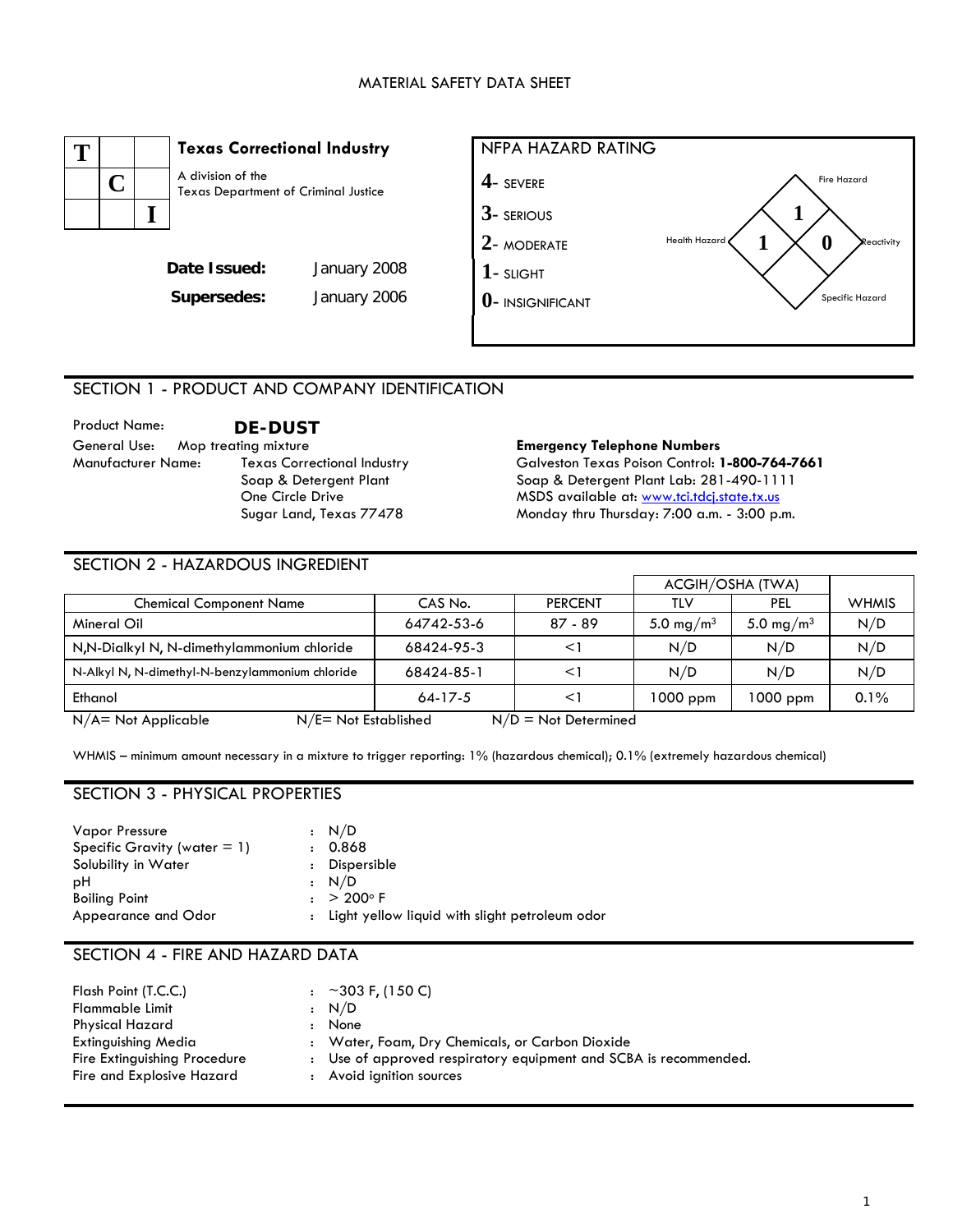

## SECTION 1 - PRODUCT AND COMPANY IDENTIFICATION

| <b>Product Name:</b>      | <b>DE-DUST</b>                     |
|---------------------------|------------------------------------|
| General Use:              | Mop treating mixture               |
| <b>Manufacturer Name:</b> | <b>Texas Correctional Industry</b> |
|                           | Soap & Detergent Plant             |
|                           | One Circle Drive                   |
|                           | Sugar Land, Texas 77478            |

#### **Emergency Telephone Numbers**

Galveston Texas Poison Control: **1-800-764-7661** Soap & Detergent Plant Lab: 281-490-1111 MSDS available at: [www.tci.tdcj.state.tx.us](http://www.tci.tdcj.state.tx.us/) Monday thru Thursday: 7:00 a.m. - 3:00 p.m.

### SECTION 2 - HAZARDOUS INGREDIENT

|                                                                             |            |                | ACGIH/OSHA (TWA)      |                       |              |
|-----------------------------------------------------------------------------|------------|----------------|-----------------------|-----------------------|--------------|
| <b>Chemical Component Name</b>                                              | CAS No.    | <b>PERCENT</b> | TLV                   | <b>PEL</b>            | <b>WHMIS</b> |
| Mineral Oil                                                                 | 64742-53-6 | $87 - 89$      | 5.0 mg/m <sup>3</sup> | 5.0 mg/m <sup>3</sup> | N/D          |
| N,N-Dialkyl N, N-dimethylammonium chloride                                  | 68424-95-3 | <1             | N/D                   | N/D                   | N/D          |
| N-Alkyl N, N-dimethyl-N-benzylammonium chloride                             | 68424-85-1 | $\lt'$         | N/D                   | N/D                   | N/D          |
| Ethanol                                                                     | $64-17-5$  | $\leq$ 1       | $1000$ ppm            | 1000 ppm              | 0.1%         |
| $N/E = Not$ Established<br>$N/A = Not Applicable$<br>$N/D = Not$ Determined |            |                |                       |                       |              |

WHMIS – minimum amount necessary in a mixture to trigger reporting: 1% (hazardous chemical); 0.1% (extremely hazardous chemical)

# SECTION 3 - PHYSICAL PROPERTIES

| <b>Vapor Pressure</b>           | : N/D                                            |
|---------------------------------|--------------------------------------------------|
| Specific Gravity (water $= 1$ ) | 0.868                                            |
| Solubility in Water             | Dispersible                                      |
| рH                              | : N/D                                            |
| <b>Boiling Point</b>            | $: > 200^{\circ} F$                              |
| Appearance and Odor             | : Light yellow liquid with slight petroleum odor |

## SECTION 4 - FIRE AND HAZARD DATA

| Flash Point (T.C.C.)<br>Flammable Limit |                | $\approx 303$ F, (150 C)<br>$\cdot$ N/D                          |
|-----------------------------------------|----------------|------------------------------------------------------------------|
| Physical Hazard                         | $\ddot{\cdot}$ | None                                                             |
| Extinguishing Media                     |                | : Water, Foam, Dry Chemicals, or Carbon Dioxide                  |
| Fire Extinguishing Procedure            |                | : Use of approved respiratory equipment and SCBA is recommended. |
| Fire and Explosive Hazard               |                | : Avoid ignition sources                                         |